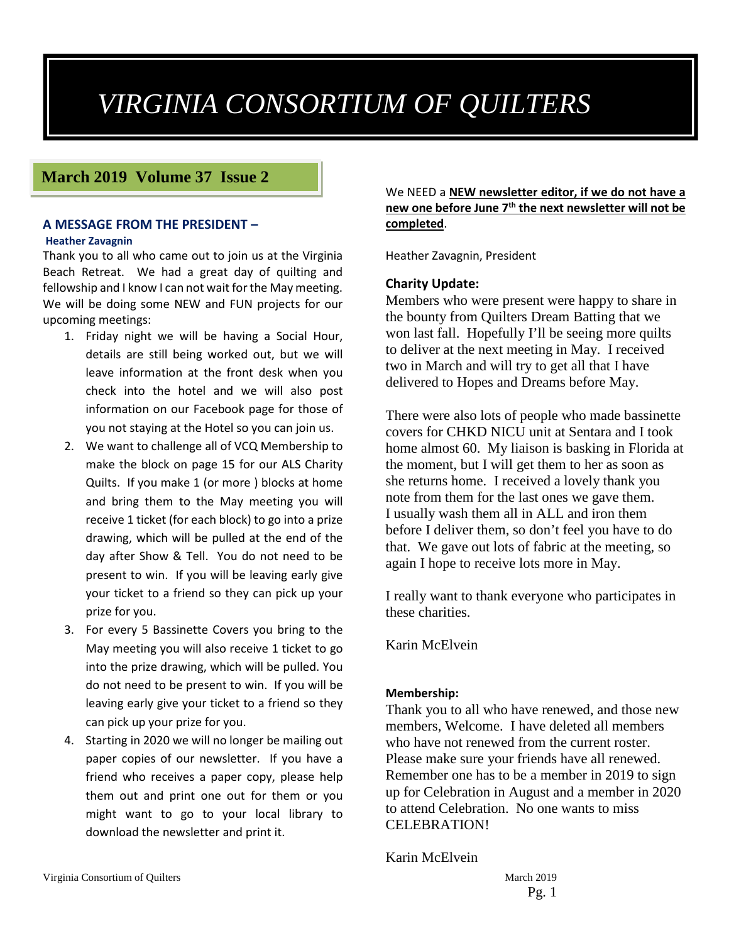# *VIRGINIA CONSORTIUM OF QUILTERS*

# **March 2019 Volume 37 Issue 2**

# **A MESSAGE FROM THE PRESIDENT –**

#### **Heather Zavagnin**

Thank you to all who came out to join us at the Virginia Beach Retreat. We had a great day of quilting and fellowship and I know I can not wait for the May meeting. We will be doing some NEW and FUN projects for our upcoming meetings:

- 1. Friday night we will be having a Social Hour, details are still being worked out, but we will leave information at the front desk when you check into the hotel and we will also post information on our Facebook page for those of you not staying at the Hotel so you can join us.
- 2. We want to challenge all of VCQ Membership to make the block on page 15 for our ALS Charity Quilts. If you make 1 (or more ) blocks at home and bring them to the May meeting you will receive 1 ticket (for each block) to go into a prize drawing, which will be pulled at the end of the day after Show & Tell. You do not need to be present to win. If you will be leaving early give your ticket to a friend so they can pick up your prize for you.
- 3. For every 5 Bassinette Covers you bring to the May meeting you will also receive 1 ticket to go into the prize drawing, which will be pulled. You do not need to be present to win. If you will be leaving early give your ticket to a friend so they can pick up your prize for you.
- 4. Starting in 2020 we will no longer be mailing out paper copies of our newsletter. If you have a friend who receives a paper copy, please help them out and print one out for them or you might want to go to your local library to download the newsletter and print it.

We NEED a **NEW newsletter editor, if we do not have a new one before June 7th the next newsletter will not be completed**.

Heather Zavagnin, President

#### **Charity Update:**

Members who were present were happy to share in the bounty from Quilters Dream Batting that we won last fall. Hopefully I'll be seeing more quilts to deliver at the next meeting in May. I received two in March and will try to get all that I have delivered to Hopes and Dreams before May.

There were also lots of people who made bassinette covers for CHKD NICU unit at Sentara and I took home almost 60. My liaison is basking in Florida at the moment, but I will get them to her as soon as she returns home. I received a lovely thank you note from them for the last ones we gave them. I usually wash them all in ALL and iron them before I deliver them, so don't feel you have to do that. We gave out lots of fabric at the meeting, so again I hope to receive lots more in May.

I really want to thank everyone who participates in these charities.

Karin McElvein

#### **Membership:**

Thank you to all who have renewed, and those new members, Welcome. I have deleted all members who have not renewed from the current roster. Please make sure your friends have all renewed. Remember one has to be a member in 2019 to sign up for Celebration in August and a member in 2020 to attend Celebration. No one wants to miss CELEBRATION!

Karin McElvein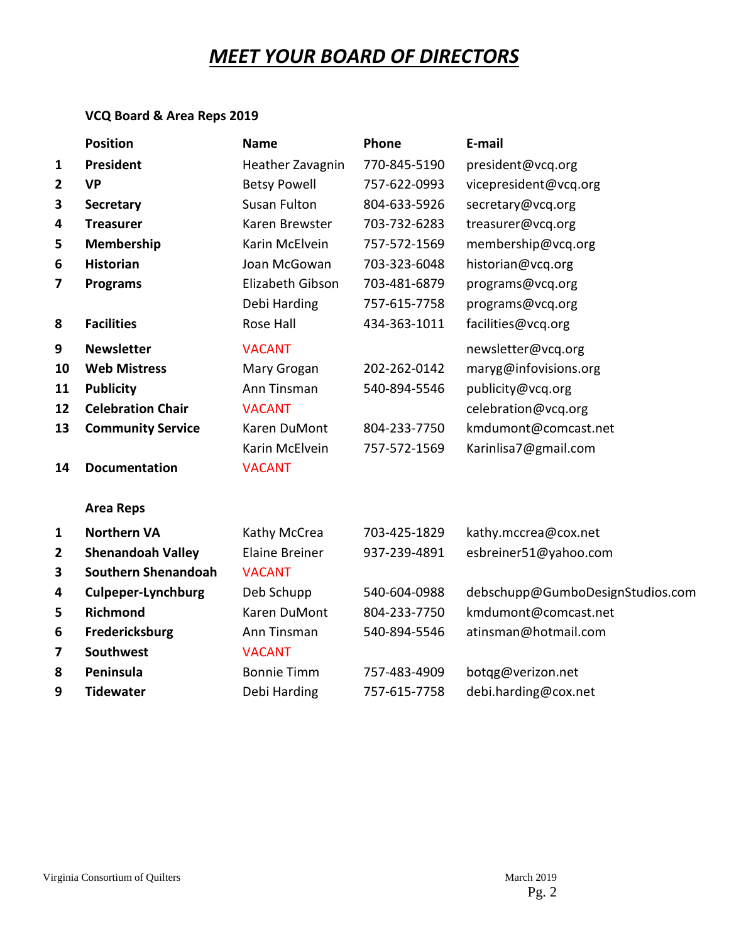# *MEET YOUR BOARD OF DIRECTORS*

# **VCQ Board & Area Reps 2019**

|                | <b>Position</b>            | <b>Name</b>           | Phone        | E-mail                           |
|----------------|----------------------------|-----------------------|--------------|----------------------------------|
| 1              | President                  | Heather Zavagnin      | 770-845-5190 | president@vcq.org                |
| $\overline{2}$ | <b>VP</b>                  | <b>Betsy Powell</b>   | 757-622-0993 | vicepresident@vcq.org            |
| 3              | <b>Secretary</b>           | <b>Susan Fulton</b>   | 804-633-5926 | secretary@vcq.org                |
| 4              | <b>Treasurer</b>           | Karen Brewster        | 703-732-6283 | treasurer@vcq.org                |
| 5              | Membership                 | Karin McElvein        | 757-572-1569 | membership@vcq.org               |
| 6              | <b>Historian</b>           | Joan McGowan          | 703-323-6048 | historian@vcq.org                |
| 7              | <b>Programs</b>            | Elizabeth Gibson      | 703-481-6879 | programs@vcq.org                 |
|                |                            | Debi Harding          | 757-615-7758 | programs@vcq.org                 |
| 8              | <b>Facilities</b>          | Rose Hall             | 434-363-1011 | facilities@vcq.org               |
| 9              | <b>Newsletter</b>          | <b>VACANT</b>         |              | newsletter@vcq.org               |
| 10             | <b>Web Mistress</b>        | Mary Grogan           | 202-262-0142 | maryg@infovisions.org            |
| 11             | <b>Publicity</b>           | Ann Tinsman           | 540-894-5546 | publicity@vcq.org                |
| 12             | <b>Celebration Chair</b>   | <b>VACANT</b>         |              | celebration@vcq.org              |
| 13             | <b>Community Service</b>   | Karen DuMont          | 804-233-7750 | kmdumont@comcast.net             |
|                |                            | Karin McElvein        | 757-572-1569 | Karinlisa7@gmail.com             |
| 14             | <b>Documentation</b>       | <b>VACANT</b>         |              |                                  |
|                | <b>Area Reps</b>           |                       |              |                                  |
| $\mathbf{1}$   | <b>Northern VA</b>         | Kathy McCrea          | 703-425-1829 | kathy.mccrea@cox.net             |
| $\overline{2}$ | <b>Shenandoah Valley</b>   | <b>Elaine Breiner</b> | 937-239-4891 | esbreiner51@yahoo.com            |
| 3              | <b>Southern Shenandoah</b> | <b>VACANT</b>         |              |                                  |
| 4              | <b>Culpeper-Lynchburg</b>  | Deb Schupp            | 540-604-0988 | debschupp@GumboDesignStudios.com |
| 5              | <b>Richmond</b>            | Karen DuMont          | 804-233-7750 | kmdumont@comcast.net             |
| 6              | Fredericksburg             | Ann Tinsman           | 540-894-5546 | atinsman@hotmail.com             |
| 7              | <b>Southwest</b>           | <b>VACANT</b>         |              |                                  |
| 8              | Peninsula                  | <b>Bonnie Timm</b>    | 757-483-4909 | botgg@verizon.net                |
| 9              | <b>Tidewater</b>           | Debi Harding          | 757-615-7758 | debi.harding@cox.net             |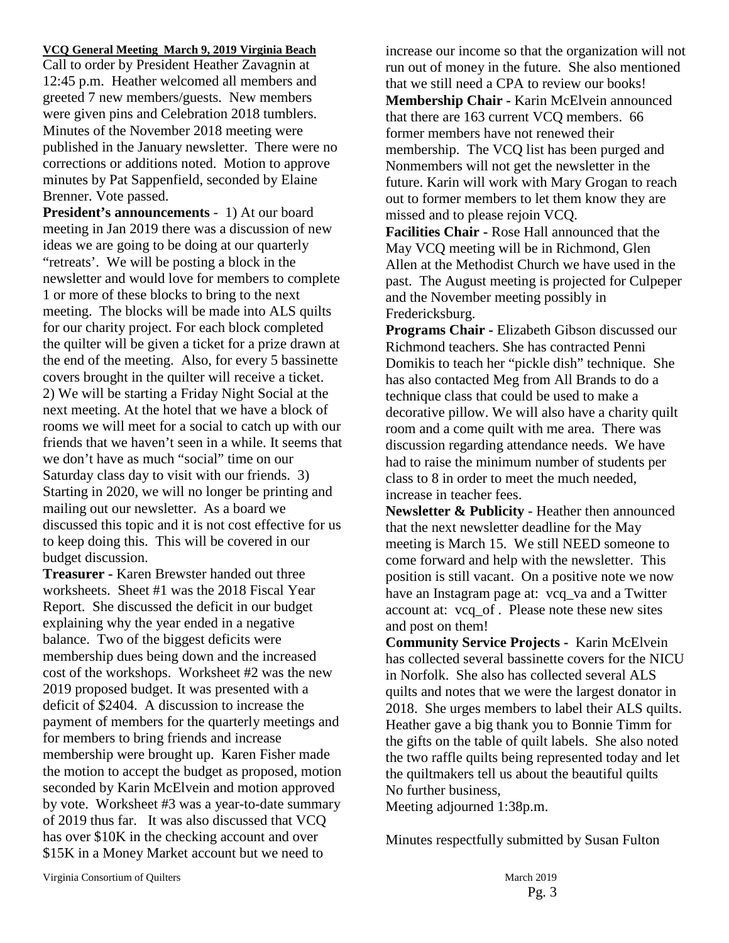#### **VCQ General Meeting March 9, 2019 Virginia Beach**

Call to order by President Heather Zavagnin at 12:45 p.m. Heather welcomed all members and greeted 7 new members/guests. New members were given pins and Celebration 2018 tumblers. Minutes of the November 2018 meeting were published in the January newsletter. There were no corrections or additions noted. Motion to approve minutes by Pat Sappenfield, seconded by Elaine Brenner. Vote passed.

**President's announcements** - 1) At our board meeting in Jan 2019 there was a discussion of new ideas we are going to be doing at our quarterly "retreats'. We will be posting a block in the newsletter and would love for members to complete 1 or more of these blocks to bring to the next meeting. The blocks will be made into ALS quilts for our charity project. For each block completed the quilter will be given a ticket for a prize drawn at the end of the meeting. Also, for every 5 bassinette covers brought in the quilter will receive a ticket. 2) We will be starting a Friday Night Social at the next meeting. At the hotel that we have a block of rooms we will meet for a social to catch up with our friends that we haven't seen in a while. It seems that we don't have as much "social" time on our Saturday class day to visit with our friends. 3) Starting in 2020, we will no longer be printing and mailing out our newsletter. As a board we discussed this topic and it is not cost effective for us to keep doing this. This will be covered in our budget discussion.

**Treasurer -** Karen Brewster handed out three worksheets. Sheet #1 was the 2018 Fiscal Year Report. She discussed the deficit in our budget explaining why the year ended in a negative balance. Two of the biggest deficits were membership dues being down and the increased cost of the workshops. Worksheet #2 was the new 2019 proposed budget. It was presented with a deficit of \$2404. A discussion to increase the payment of members for the quarterly meetings and for members to bring friends and increase membership were brought up. Karen Fisher made the motion to accept the budget as proposed, motion seconded by Karin McElvein and motion approved by vote. Worksheet #3 was a year-to-date summary of 2019 thus far. It was also discussed that VCQ has over \$10K in the checking account and over \$15K in a Money Market account but we need to

increase our income so that the organization will not run out of money in the future. She also mentioned that we still need a CPA to review our books! **Membership Chair -** Karin McElvein announced that there are 163 current VCQ members. 66 former members have not renewed their membership. The VCQ list has been purged and Nonmembers will not get the newsletter in the future. Karin will work with Mary Grogan to reach out to former members to let them know they are missed and to please rejoin VCQ.

**Facilities Chair -** Rose Hall announced that the May VCQ meeting will be in Richmond, Glen Allen at the Methodist Church we have used in the past. The August meeting is projected for Culpeper and the November meeting possibly in Fredericksburg.

**Programs Chair -** Elizabeth Gibson discussed our Richmond teachers. She has contracted Penni Domikis to teach her "pickle dish" technique. She has also contacted Meg from All Brands to do a technique class that could be used to make a decorative pillow. We will also have a charity quilt room and a come quilt with me area. There was discussion regarding attendance needs. We have had to raise the minimum number of students per class to 8 in order to meet the much needed, increase in teacher fees.

**Newsletter & Publicity** - Heather then announced that the next newsletter deadline for the May meeting is March 15. We still NEED someone to come forward and help with the newsletter. This position is still vacant. On a positive note we now have an Instagram page at: vcq\_va and a Twitter account at: vcq\_of . Please note these new sites and post on them!

**Community Service Projects -** Karin McElvein has collected several bassinette covers for the NICU in Norfolk. She also has collected several ALS quilts and notes that we were the largest donator in 2018. She urges members to label their ALS quilts. Heather gave a big thank you to Bonnie Timm for the gifts on the table of quilt labels. She also noted the two raffle quilts being represented today and let the quiltmakers tell us about the beautiful quilts No further business,

Meeting adjourned 1:38p.m.

Minutes respectfully submitted by Susan Fulton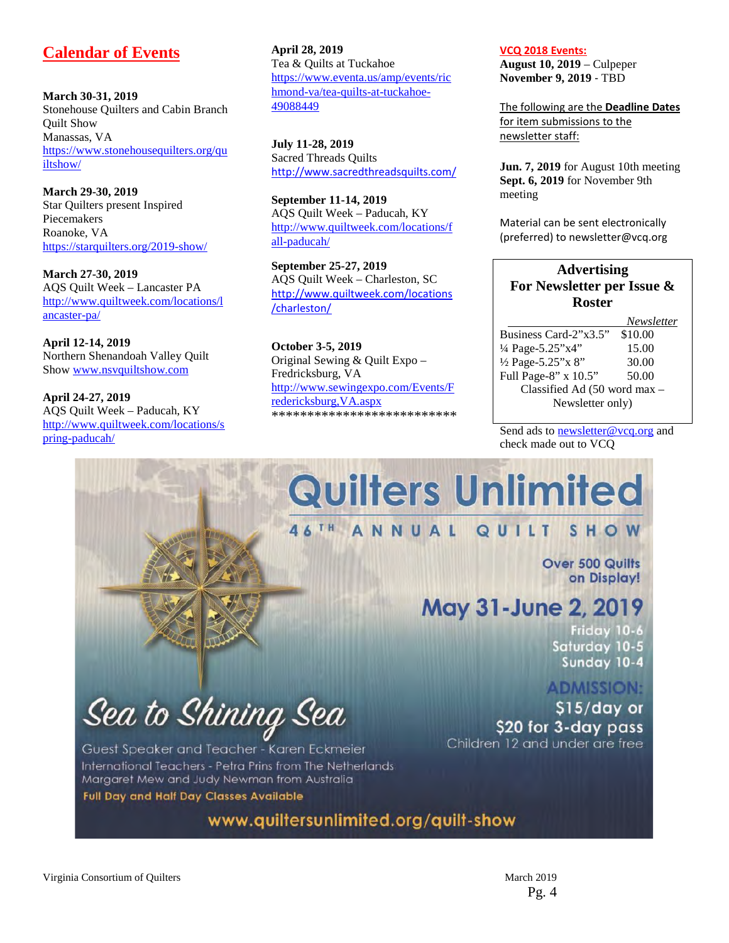# **Calendar of Events**

**March 30-31, 2019** Stonehouse Quilters and Cabin Branch Quilt Show Manassas, VA [https://www.stonehousequilters.org/qu](https://www.stonehousequilters.org/quiltshow/) [iltshow/](https://www.stonehousequilters.org/quiltshow/)

**March 29-30, 2019** Star Quilters present Inspired Piecemakers Roanoke, VA <https://starquilters.org/2019-show/>

**March 27-30, 2019** AQS Quilt Week – Lancaster PA [http://www.quiltweek.com/locations/l](http://www.quiltweek.com/locations/lancaster-pa/) [ancaster-pa/](http://www.quiltweek.com/locations/lancaster-pa/)

**April 12-14, 2019**  Northern Shenandoah Valley Quilt Show [www.nsvquiltshow.com](http://www.nsvquiltshow.com/) 

**April 24-27, 2019** AQS Quilt Week – Paducah, KY [http://www.quiltweek.com/locations/s](http://www.quiltweek.com/locations/spring-paducah/) [pring-paducah/](http://www.quiltweek.com/locations/spring-paducah/)

**April 28, 2019**  Tea & Quilts at Tuckahoe [https://www.eventa.us/amp/events/ric](https://www.eventa.us/amp/events/richmond-va/tea-quilts-at-tuckahoe-49088449) [hmond-va/tea-quilts-at-tuckahoe-](https://www.eventa.us/amp/events/richmond-va/tea-quilts-at-tuckahoe-49088449)[49088449](https://www.eventa.us/amp/events/richmond-va/tea-quilts-at-tuckahoe-49088449)

**July 11-28, 2019** Sacred Threads Quilts <http://www.sacredthreadsquilts.com/>

**September 11-14, 2019** AQS Quilt Week – Paducah, KY [http://www.quiltweek.com/locations/f](http://www.quiltweek.com/locations/fall-paducah/) [all-paducah/](http://www.quiltweek.com/locations/fall-paducah/)

**September 25-27, 2019** AQS Quilt Week – Charleston, SC [http://www.quiltweek.com/locations](http://www.quiltweek.com/locations/charleston/) [/charleston/](http://www.quiltweek.com/locations/charleston/)

**October 3-5, 2019** Original Sewing & Quilt Expo – Fredricksburg, VA [http://www.sewingexpo.com/Events/F](http://www.sewingexpo.com/Events/Fredericksburg,VA.aspx) [redericksburg,VA.aspx](http://www.sewingexpo.com/Events/Fredericksburg,VA.aspx) \*\*\*\*\*\*\*\*\*\*\*\*\*\*\*\*\*\*\*\*\*\*\*\*\*\* **VCQ 2018 Events:**

**August 10, 2019** – Culpeper **November 9, 2019** ‐ TBD

The following are the **Deadline Dates** for item submissions to the newsletter staff:

**Jun. 7, 2019** for August 10th meeting **Sept. 6, 2019** for November 9th meeting

Material can be sent electronically (preferred) to newsletter@vcq.org

# **Advertising For Newsletter per Issue & Roster**

 *Newsletter*  Business Card- $2\overline{3.5}$ " ¼ Page-5.25"x4" 15.00 <sup>1</sup>/<sub>2</sub> Page-5.25"x 8" 30.00<br>Full Page-8" x 10.5" 50.00 Full Page-8"  $x$  10.5" Classified Ad (50 word max – Newsletter only)

Send ads t[o newsletter@vcq.org](mailto:newsletter@vcq.org) and check made out to VCQ

# **Quilters Unlimited**

#### 46TH ANNUAL QUILT SHOW

Over 500 Quilts on Display!

# May 31-June 2, 2019

Friday 10-6 Saturday 10-5 Sunday 10-4

**ADMISSION:** 

 $$15$ /day or \$20 for 3-day pass Children 12 and under are free

Sea to Shining Sea

Guest Speaker and Teacher - Karen Eckmeier International Teachers - Petra Prins from The Netherlands Margaret Mew and Judy Newman from Australia **Full Day and Half Day Classes Available** 

www.quiltersunlimited.org/quilt-show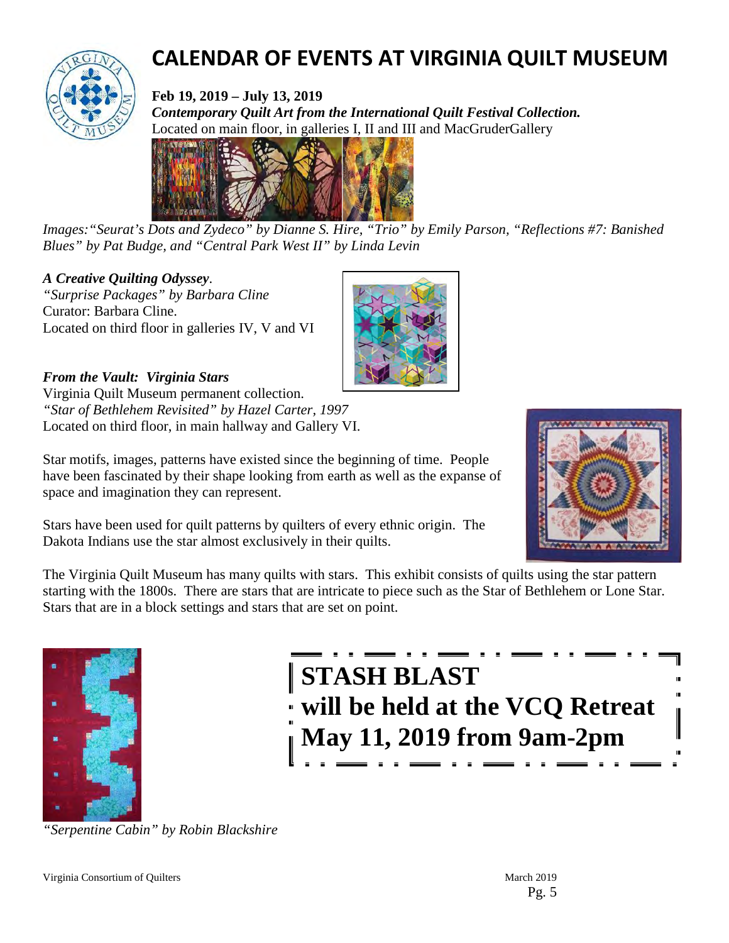

# **CALENDAR OF EVENTS AT VIRGINIA QUILT MUSEUM**

**Feb 19, 2019 – July 13, 2019** *Contemporary Quilt Art from the International Quilt Festival Collection.*  Located on main floor, in galleries I, II and III and MacGruderGallery



*Images:"Seurat's Dots and Zydeco" by Dianne S. Hire, "Trio" by Emily Parson, "Reflections #7: Banished Blues" by Pat Budge, and "Central Park West II" by Linda Levin*

# *A Creative Quilting Odyssey*.

*"Surprise Packages" by Barbara Cline* Curator: Barbara Cline. Located on third floor in galleries IV, V and VI

*From the Vault: Virginia Stars*  Virginia Quilt Museum permanent collection. *"Star of Bethlehem Revisited" by Hazel Carter, 1997*

Located on third floor, in main hallway and Gallery VI.



Star motifs, images, patterns have existed since the beginning of time. People have been fascinated by their shape looking from earth as well as the expanse of space and imagination they can represent.

Stars have been used for quilt patterns by quilters of every ethnic origin. The Dakota Indians use the star almost exclusively in their quilts.

The Virginia Quilt Museum has many quilts with stars. This exhibit consists of quilts using the star pattern starting with the 1800s. There are stars that are intricate to piece such as the Star of Bethlehem or Lone Star. Stars that are in a block settings and stars that are set on point.



**STASH BLAST will be held at the VCQ Retreat May 11, 2019 from 9am-2pm**

*"Serpentine Cabin" by Robin Blackshire*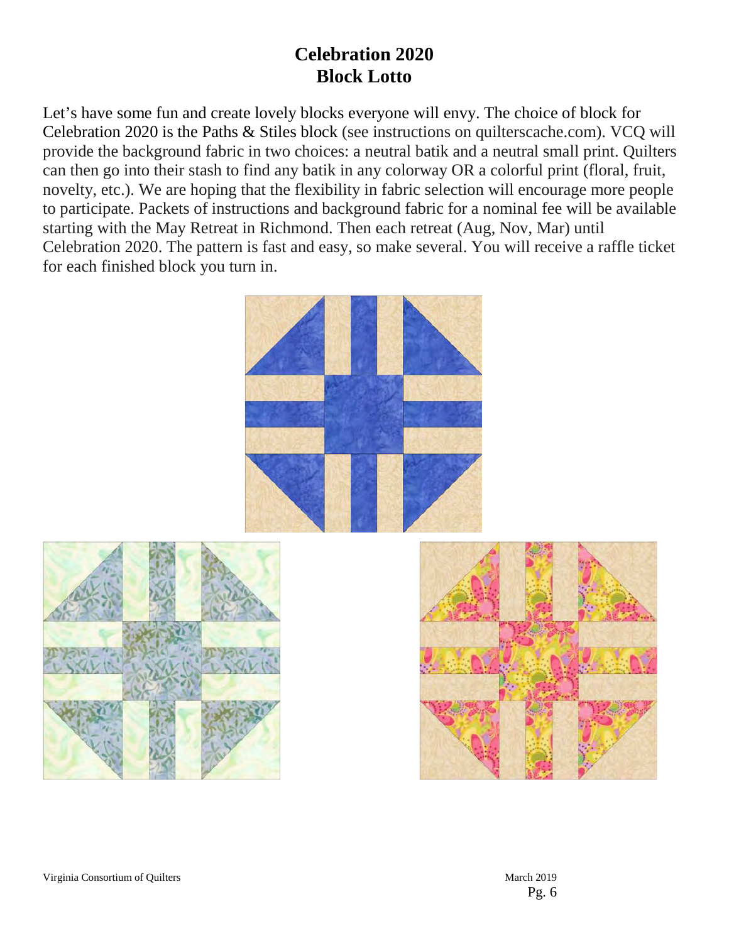# **Celebration 2020 Block Lotto**

Let's have some fun and create lovely blocks everyone will envy. The choice of block for Celebration 2020 is the Paths & Stiles block (see instructions on quilterscache.com). VCQ will provide the background fabric in two choices: a neutral batik and a neutral small print. Quilters can then go into their stash to find any batik in any colorway OR a colorful print (floral, fruit, novelty, etc.). We are hoping that the flexibility in fabric selection will encourage more people to participate. Packets of instructions and background fabric for a nominal fee will be available starting with the May Retreat in Richmond. Then each retreat (Aug, Nov, Mar) until Celebration 2020. The pattern is fast and easy, so make several. You will receive a raffle ticket for each finished block you turn in.





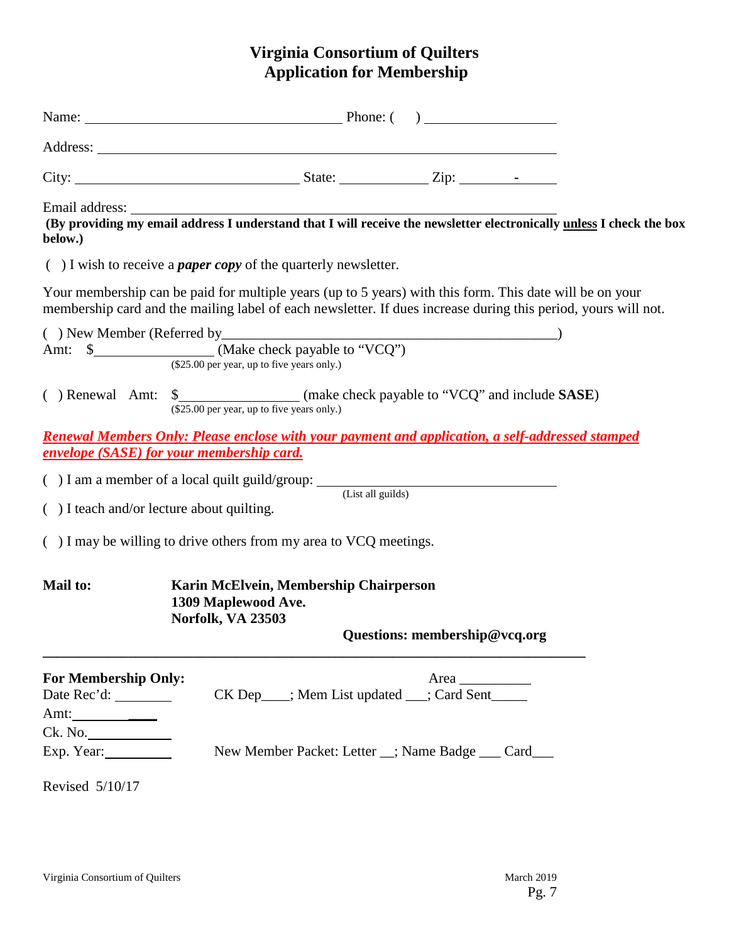# **Virginia Consortium of Quilters Application for Membership**

| Email address:<br>below.)                                        |                                                                                                                                                                                                                            |  |  |  |  |  |  |  |
|------------------------------------------------------------------|----------------------------------------------------------------------------------------------------------------------------------------------------------------------------------------------------------------------------|--|--|--|--|--|--|--|
|                                                                  | $( )$ I wish to receive a <i>paper copy</i> of the quarterly newsletter.                                                                                                                                                   |  |  |  |  |  |  |  |
|                                                                  | Your membership can be paid for multiple years (up to 5 years) with this form. This date will be on your<br>membership card and the mailing label of each newsletter. If dues increase during this period, yours will not. |  |  |  |  |  |  |  |
| (\$25.00 per year, up to five years only.)                       |                                                                                                                                                                                                                            |  |  |  |  |  |  |  |
|                                                                  | (\$25.00 per year, up to five years only.)                                                                                                                                                                                 |  |  |  |  |  |  |  |
|                                                                  | <u><b>Renewal Members Only: Please enclose with your payment and application, a self-addressed stamped</b></u><br><b>envelope (SASE) for your membership card.</b>                                                         |  |  |  |  |  |  |  |
|                                                                  | ( $)$ I am a member of a local quilt guild/group: $($ List all guilds)                                                                                                                                                     |  |  |  |  |  |  |  |
| () I teach and/or lecture about quilting.                        |                                                                                                                                                                                                                            |  |  |  |  |  |  |  |
|                                                                  | $( )$ I may be willing to drive others from my area to VCQ meetings.                                                                                                                                                       |  |  |  |  |  |  |  |
| <b>Mail to:</b>                                                  | Karin McElvein, Membership Chairperson<br>1309 Maplewood Ave.<br><b>Norfolk, VA 23503</b><br>Questions: membership@vcq.org                                                                                                 |  |  |  |  |  |  |  |
| <b>For Membership Only:</b><br>Date $Rec'd:$<br>Amt: ___________ | Area $\_\_$<br>CK Dep___; Mem List updated __; Card Sent_____                                                                                                                                                              |  |  |  |  |  |  |  |
| Ck. No.<br>Exp. Year:<br>Revised 5/10/17                         | New Member Packet: Letter _; Name Badge __ Card__                                                                                                                                                                          |  |  |  |  |  |  |  |
|                                                                  |                                                                                                                                                                                                                            |  |  |  |  |  |  |  |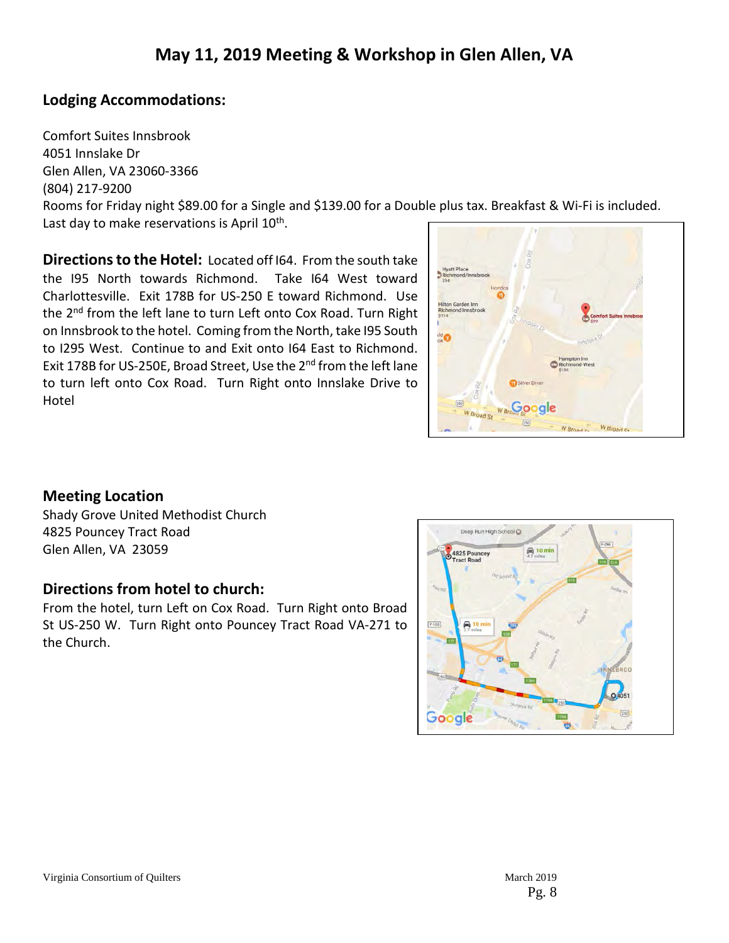# **Lodging Accommodations:**

Comfort Suites Innsbrook 4051 Innslake Dr Glen Allen, VA 23060-3366 (804) 217-9200 Rooms for Friday night \$89.00 for a Single and \$139.00 for a Double plus tax. Breakfast & Wi-Fi is included. Last day to make reservations is April 10<sup>th</sup>.

**Directions to the Hotel:** Located off I64. From the south take the I95 North towards Richmond. Take I64 West toward Charlottesville. Exit 178B for US-250 E toward Richmond. Use the 2nd from the left lane to turn Left onto Cox Road. Turn Right on Innsbrook to the hotel. Coming from the North, take I95 South to I295 West. Continue to and Exit onto I64 East to Richmond. Exit 178B for US-250E, Broad Street, Use the 2<sup>nd</sup> from the left lane to turn left onto Cox Road. Turn Right onto Innslake Drive to Hotel



# **Meeting Location**

Shady Grove United Methodist Church 4825 Pouncey Tract Road Glen Allen, VA 23059

# **Directions from hotel to church:**

From the hotel, turn Left on Cox Road. Turn Right onto Broad St US-250 W. Turn Right onto Pouncey Tract Road VA-271 to the Church.

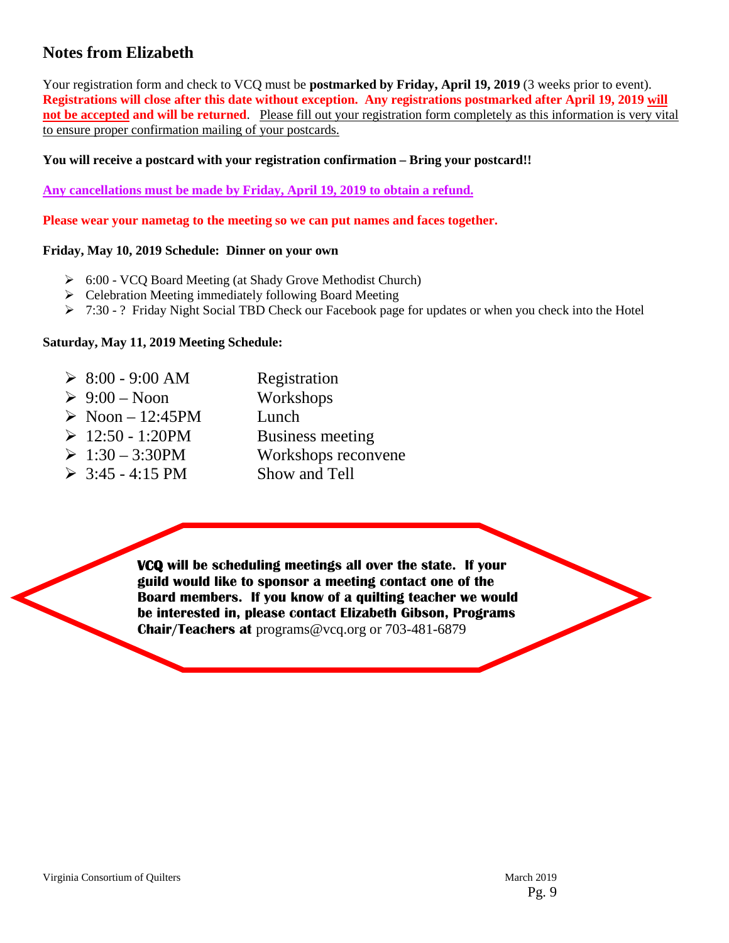# **Notes from Elizabeth**

Your registration form and check to VCQ must be **postmarked by Friday, April 19, 2019** (3 weeks prior to event). **Registrations will close after this date without exception. Any registrations postmarked after April 19, 2019 will not be accepted and will be returned**. Please fill out your registration form completely as this information is very vital to ensure proper confirmation mailing of your postcards.

#### **You will receive a postcard with your registration confirmation – Bring your postcard!!**

**Any cancellations must be made by Friday, April 19, 2019 to obtain a refund.**

**Please wear your nametag to the meeting so we can put names and faces together.**

#### **Friday, May 10, 2019 Schedule: Dinner on your own**

- 6:00 VCQ Board Meeting (at Shady Grove Methodist Church)
- $\triangleright$  Celebration Meeting immediately following Board Meeting
- $\triangleright$  7:30 ? Friday Night Social TBD Check our Facebook page for updates or when you check into the Hotel

#### **Saturday, May 11, 2019 Meeting Schedule:**

 $\geq 8:00 - 9:00$  AM Registration  $\geq 9:00$  – Noon Workshops  $\triangleright$  Noon – 12:45PM Lunch  $\geq 12:50 - 1:20$ PM Business meeting  $\geq 1:30 - 3:30$ PM Workshops reconvene  $\geq 3:45 - 4:15 \text{ PM}$  Show and Tell

> **VCQ will be scheduling meetings all over the state. If your guild would like to sponsor a meeting contact one of the Board members. If you know of a quilting teacher we would be interested in, please contact Elizabeth Gibson, Programs Chair/Teachers at** programs@vcq.org or 703-481-6879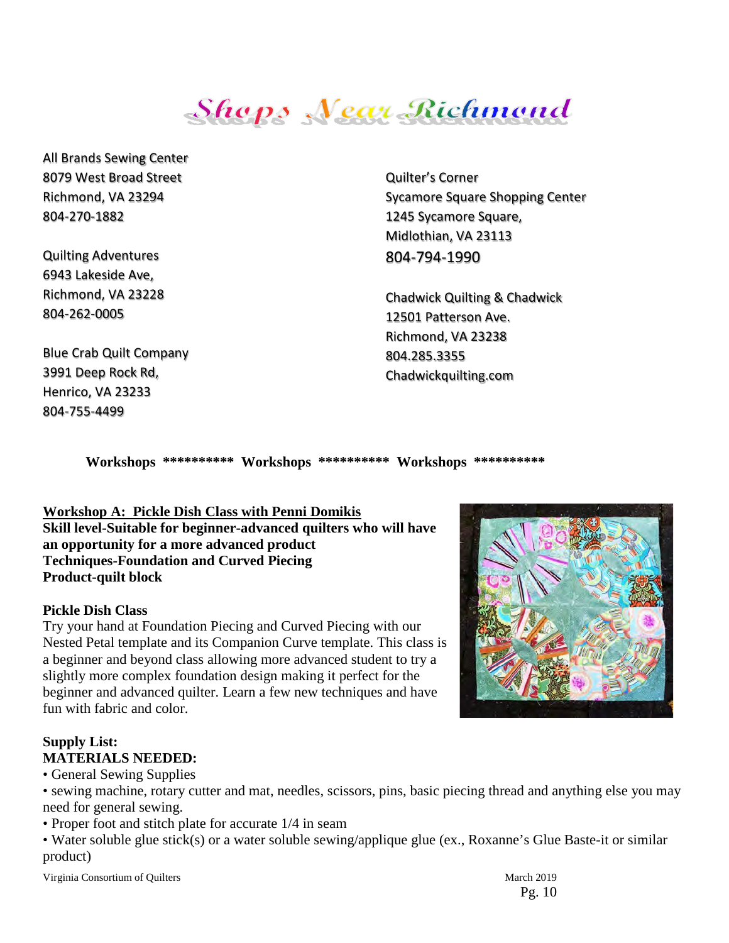**Shops Near Richmond** 

All Brands Sewing Center 8079 West Broad Street Richmond, VA 23294 804-270-1882

Quilting Adventures 6943 Lakeside Ave, Richmond, VA 2322[8](javascript:void(0)) [804-262-0005](javascript:void(0))

Blue Crab Quilt Company 3991 Deep Rock Rd, Henrico, VA 23233 804-755-4499

Quilter's Corner Sycamore Square Shopping Center 1245 Sycamore Square, Midlothian, VA 23113 804-794-1990

Chadwick Quilting & Chadwick 12501 Patterson Ave. Richmond, VA 23238 804.285.3355 Chadwickquilting.com

**Workshops \*\*\*\*\*\*\*\*\*\* Workshops \*\*\*\*\*\*\*\*\*\* Workshops \*\*\*\*\*\*\*\*\*\*** 

# **Workshop A: Pickle Dish Class with Penni Domikis**

**Skill level-Suitable for beginner-advanced quilters who will have an opportunity for a more advanced product Techniques-Foundation and Curved Piecing Product-quilt block**

#### **Pickle Dish Class**

Try your hand at Foundation Piecing and Curved Piecing with our Nested Petal template and its Companion Curve template. This class is a beginner and beyond class allowing more advanced student to try a slightly more complex foundation design making it perfect for the beginner and advanced quilter. Learn a few new techniques and have fun with fabric and color.

## **Supply List: MATERIALS NEEDED:**

• General Sewing Supplies

• sewing machine, rotary cutter and mat, needles, scissors, pins, basic piecing thread and anything else you may need for general sewing.

• Proper foot and stitch plate for accurate 1/4 in seam

• Water soluble glue stick(s) or a water soluble sewing/applique glue (ex., Roxanne's Glue Baste-it or similar product)

Virginia Consortium of Quilters March 2019



Pg. 10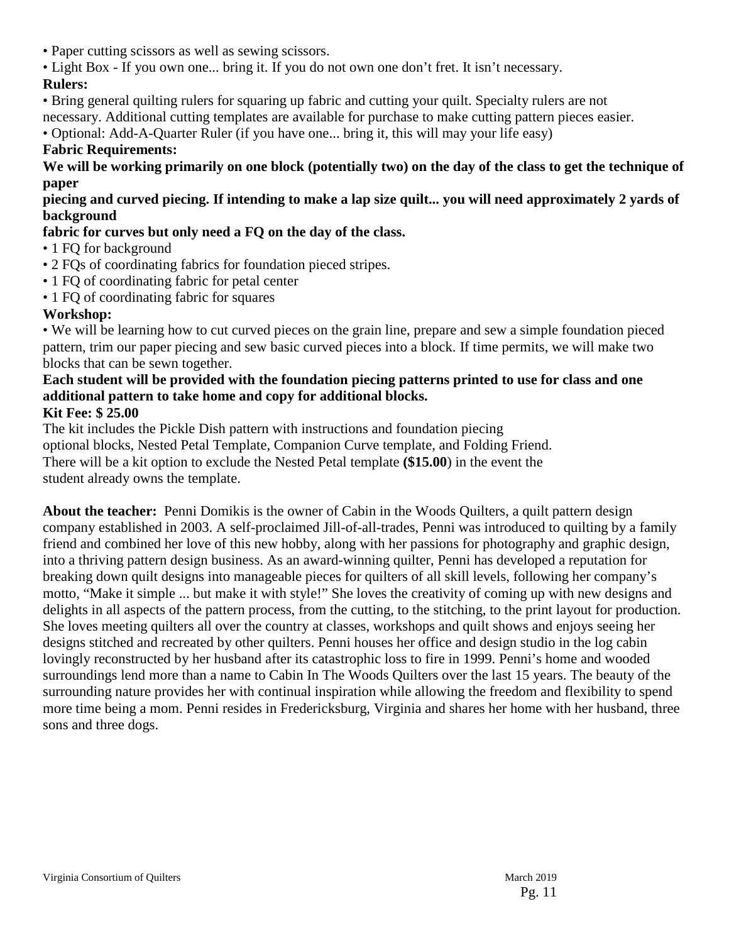- Paper cutting scissors as well as sewing scissors.
- Light Box If you own one... bring it. If you do not own one don't fret. It isn't necessary.

## **Rulers:**

• Bring general quilting rulers for squaring up fabric and cutting your quilt. Specialty rulers are not

necessary. Additional cutting templates are available for purchase to make cutting pattern pieces easier.

• Optional: Add-A-Quarter Ruler (if you have one... bring it, this will may your life easy)

#### **Fabric Requirements:**

**We will be working primarily on one block (potentially two) on the day of the class to get the technique of paper**

**piecing and curved piecing. If intending to make a lap size quilt... you will need approximately 2 yards of background**

# **fabric for curves but only need a FQ on the day of the class.**

- 1 FQ for background
- 2 FQs of coordinating fabrics for foundation pieced stripes.
- 1 FQ of coordinating fabric for petal center
- 1 FO of coordinating fabric for squares

## **Workshop:**

• We will be learning how to cut curved pieces on the grain line, prepare and sew a simple foundation pieced pattern, trim our paper piecing and sew basic curved pieces into a block. If time permits, we will make two blocks that can be sewn together.

# **Each student will be provided with the foundation piecing patterns printed to use for class and one additional pattern to take home and copy for additional blocks.**

#### **Kit Fee: \$ 25.00**

The kit includes the Pickle Dish pattern with instructions and foundation piecing optional blocks, Nested Petal Template, Companion Curve template, and Folding Friend. There will be a kit option to exclude the Nested Petal template **(\$15.00**) in the event the student already owns the template.

**About the teacher:** Penni Domikis is the owner of Cabin in the Woods Quilters, a quilt pattern design company established in 2003. A self-proclaimed Jill-of-all-trades, Penni was introduced to quilting by a family friend and combined her love of this new hobby, along with her passions for photography and graphic design, into a thriving pattern design business. As an award-winning quilter, Penni has developed a reputation for breaking down quilt designs into manageable pieces for quilters of all skill levels, following her company's motto, "Make it simple ... but make it with style!" She loves the creativity of coming up with new designs and delights in all aspects of the pattern process, from the cutting, to the stitching, to the print layout for production. She loves meeting quilters all over the country at classes, workshops and quilt shows and enjoys seeing her designs stitched and recreated by other quilters. Penni houses her office and design studio in the log cabin lovingly reconstructed by her husband after its catastrophic loss to fire in 1999. Penni's home and wooded surroundings lend more than a name to Cabin In The Woods Quilters over the last 15 years. The beauty of the surrounding nature provides her with continual inspiration while allowing the freedom and flexibility to spend more time being a mom. Penni resides in Fredericksburg, Virginia and shares her home with her husband, three sons and three dogs.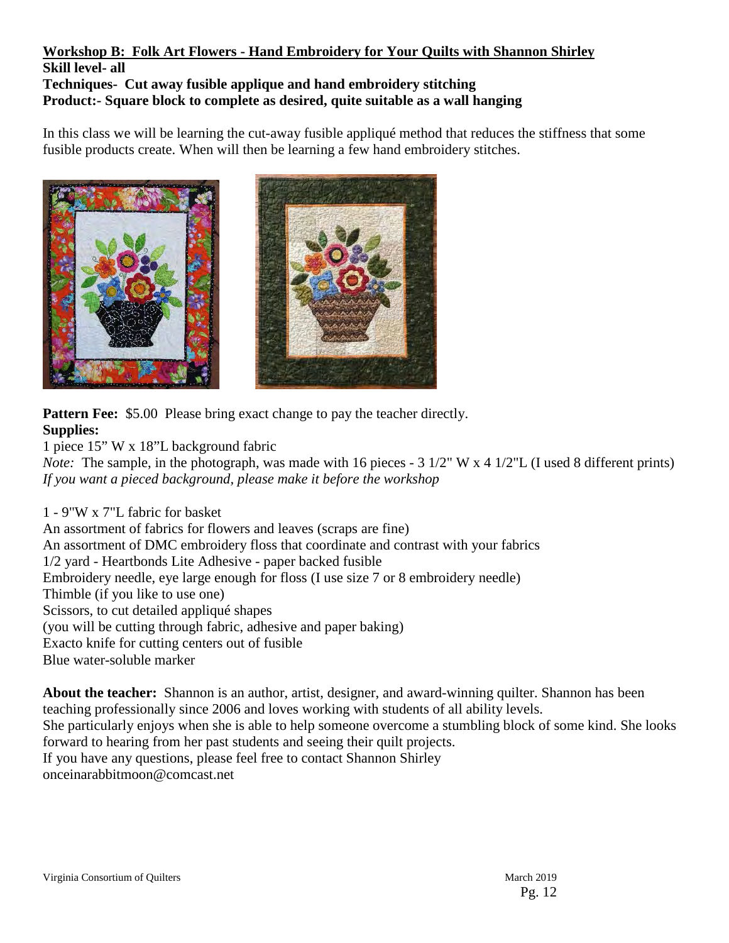#### **Workshop B: Folk Art Flowers - Hand Embroidery for Your Quilts with Shannon Shirley Skill level- all Techniques- Cut away fusible applique and hand embroidery stitching Product:- Square block to complete as desired, quite suitable as a wall hanging**

In this class we will be learning the cut-away fusible appliqué method that reduces the stiffness that some fusible products create. When will then be learning a few hand embroidery stitches.





**Pattern Fee:** \$5.00 Please bring exact change to pay the teacher directly. **Supplies:**

1 piece 15" W x 18"L background fabric

*Note:* The sample, in the photograph, was made with 16 pieces - 3 1/2" W x 4 1/2"L (I used 8 different prints) *If you want a pieced background, please make it before the workshop* 

1 - 9"W x 7"L fabric for basket An assortment of fabrics for flowers and leaves (scraps are fine) An assortment of DMC embroidery floss that coordinate and contrast with your fabrics 1/2 yard - Heartbonds Lite Adhesive - paper backed fusible Embroidery needle, eye large enough for floss (I use size 7 or 8 embroidery needle) Thimble (if you like to use one) Scissors, to cut detailed appliqué shapes (you will be cutting through fabric, adhesive and paper baking) Exacto knife for cutting centers out of fusible Blue water-soluble marker

**About the teacher:** Shannon is an author, artist, designer, and award-winning quilter. Shannon has been teaching professionally since 2006 and loves working with students of all ability levels. She particularly enjoys when she is able to help someone overcome a stumbling block of some kind. She looks forward to hearing from her past students and seeing their quilt projects. If you have any questions, please feel free to contact Shannon Shirley onceinarabbitmoon@comcast.net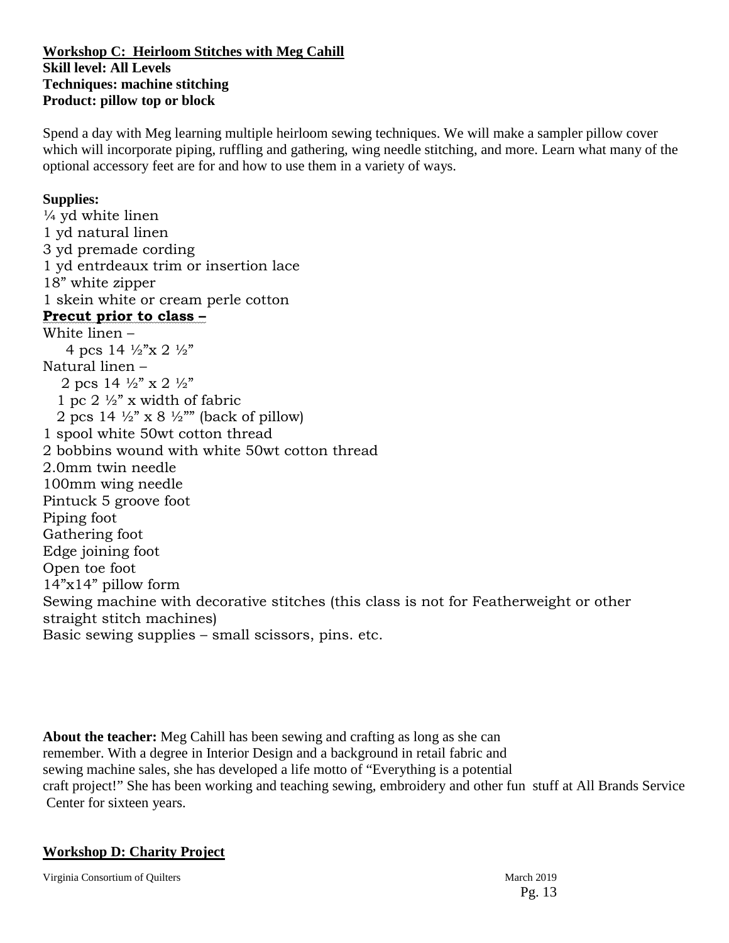#### **Workshop C: Heirloom Stitches with Meg Cahill Skill level: All Levels Techniques: machine stitching Product: pillow top or block**

Spend a day with Meg learning multiple heirloom sewing techniques. We will make a sampler pillow cover which will incorporate piping, ruffling and gathering, wing needle stitching, and more. Learn what many of the optional accessory feet are for and how to use them in a variety of ways.

#### **Supplies:**

 $\frac{1}{4}$  yd white linen 1 yd natural linen 3 yd premade cording 1 yd entrdeaux trim or insertion lace 18" white zipper 1 skein white or cream perle cotton **Precut prior to class –**  White linen – 4 pcs  $14 \frac{1}{2}$   $\frac{1}{2}$   $\frac{1}{2}$ " Natural linen – 2 pcs  $14 \frac{1}{2}$ " x  $2 \frac{1}{2}$ " 1 pc 2  $\frac{1}{2}$ " x width of fabric 2 pcs 14  $\frac{1}{2}$ " x 8  $\frac{1}{2}$ "" (back of pillow) 1 spool white 50wt cotton thread 2 bobbins wound with white 50wt cotton thread 2.0mm twin needle 100mm wing needle Pintuck 5 groove foot Piping foot Gathering foot Edge joining foot Open toe foot 14"x14" pillow form Sewing machine with decorative stitches (this class is not for Featherweight or other straight stitch machines) Basic sewing supplies – small scissors, pins. etc.

**About the teacher:** Meg Cahill has been sewing and crafting as long as she can remember. With a degree in Interior Design and a background in retail fabric and sewing machine sales, she has developed a life motto of "Everything is a potential craft project!" She has been working and teaching sewing, embroidery and other fun stuff at All Brands Service Center for sixteen years.

#### **Workshop D: Charity Project**

Virginia Consortium of Quilters March 2019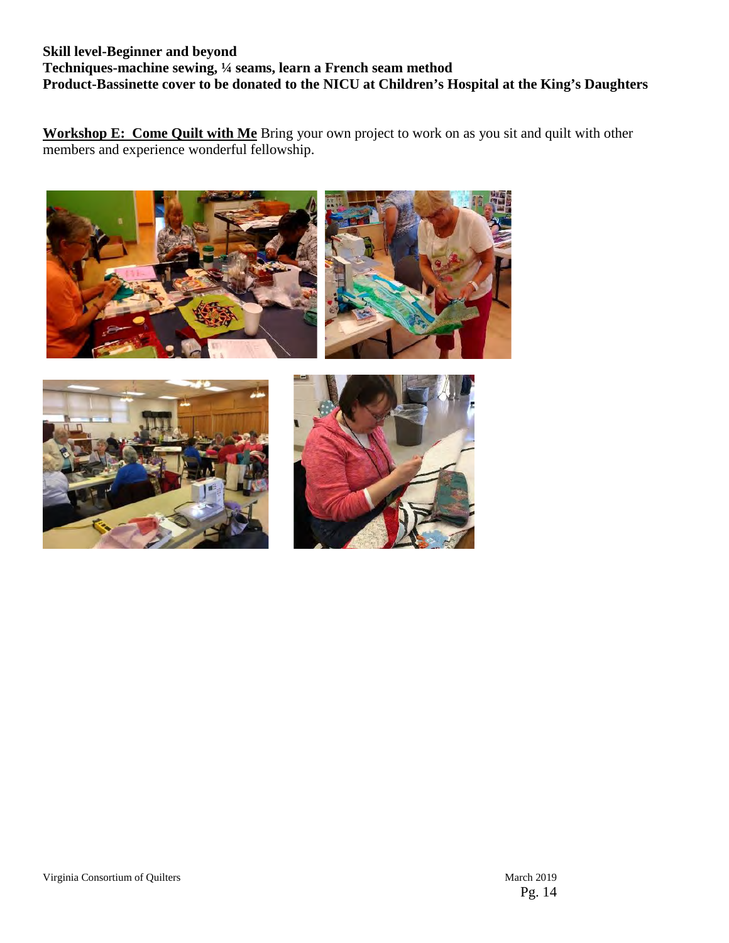#### **Skill level-Beginner and beyond Techniques-machine sewing, ¼ seams, learn a French seam method Product-Bassinette cover to be donated to the NICU at Children's Hospital at the King's Daughters**

**Workshop E: Come Quilt with Me** Bring your own project to work on as you sit and quilt with other members and experience wonderful fellowship.

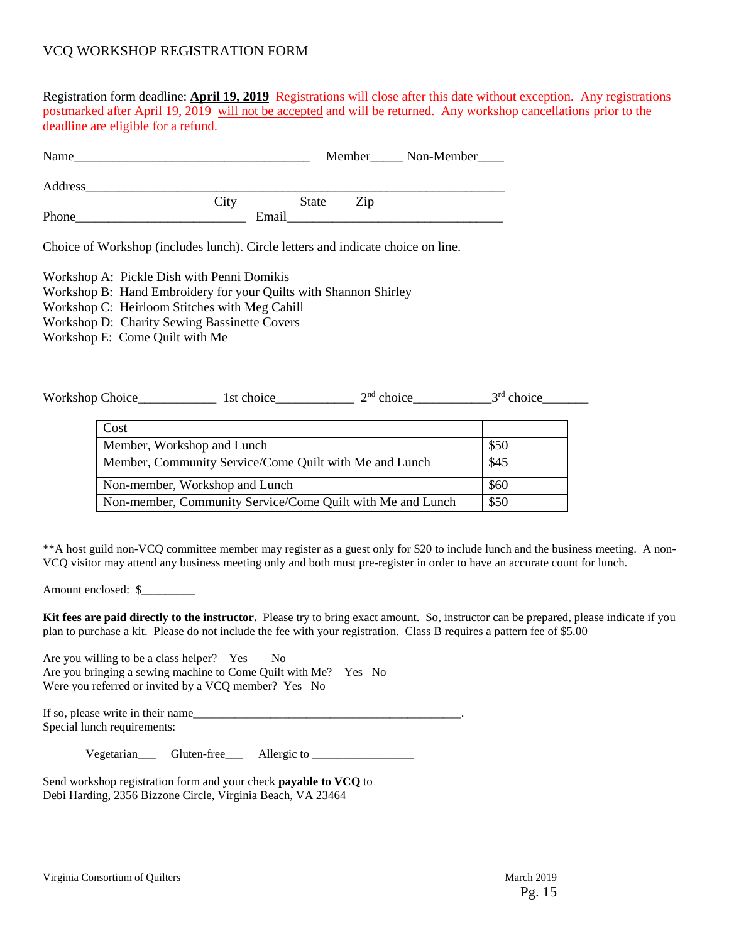#### VCQ WORKSHOP REGISTRATION FORM

Registration form deadline: **April 19, 2019** Registrations will close after this date without exception. Any registrations postmarked after April 19, 2019 will not be accepted and will be returned. Any workshop cancellations prior to the deadline are eligible for a refund.

| Name    |       |       |     | Member Non-Member |
|---------|-------|-------|-----|-------------------|
| Address |       |       |     |                   |
|         | City  | State | Zip |                   |
| Phone   | Email |       |     |                   |

Choice of Workshop (includes lunch). Circle letters and indicate choice on line.

Workshop A: Pickle Dish with Penni Domikis

Workshop B: Hand Embroidery for your Quilts with Shannon Shirley

Workshop C: Heirloom Stitches with Meg Cahill

Workshop D: Charity Sewing Bassinette Covers

Workshop E: Come Quilt with Me

| <b>Workshop Choice</b> | choice<br>-St | $2nd$ choice | ord<br>choice |
|------------------------|---------------|--------------|---------------|
|------------------------|---------------|--------------|---------------|

| Cost                                                       |      |
|------------------------------------------------------------|------|
| Member, Workshop and Lunch                                 | \$50 |
| Member, Community Service/Come Quilt with Me and Lunch     | \$45 |
| Non-member, Workshop and Lunch                             | \$60 |
| Non-member, Community Service/Come Quilt with Me and Lunch | \$50 |

\*\*A host guild non-VCQ committee member may register as a guest only for \$20 to include lunch and the business meeting. A non-VCQ visitor may attend any business meeting only and both must pre-register in order to have an accurate count for lunch.

Amount enclosed: \$

**Kit fees are paid directly to the instructor.** Please try to bring exact amount. So, instructor can be prepared, please indicate if you plan to purchase a kit. Please do not include the fee with your registration. Class B requires a pattern fee of \$5.00

Are you willing to be a class helper? Yes No Are you bringing a sewing machine to Come Quilt with Me? Yes No Were you referred or invited by a VCO member? Yes No

If so, please write in their name Special lunch requirements:

Vegetarian Gluten-free Allergic to

Send workshop registration form and your check **payable to VCQ** to Debi Harding, 2356 Bizzone Circle, Virginia Beach, VA 23464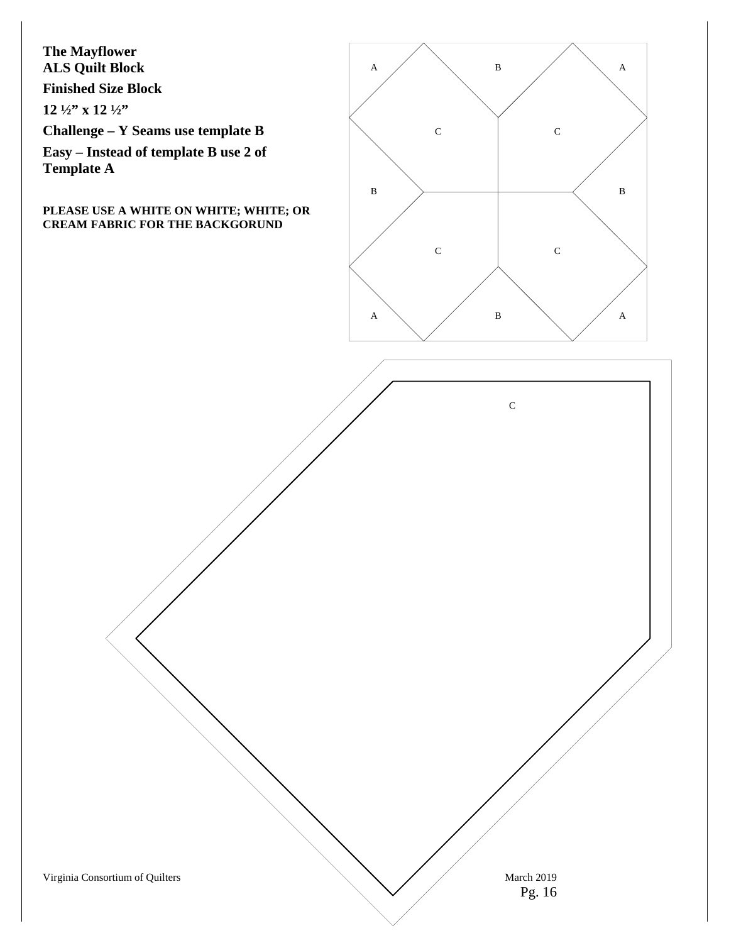**The Mayflower ALS Quilt Block**

**Finished Size Block** 

**12 ½" x 12 ½"** 

**Challenge – Y Seams use template B**

**Easy – Instead of template B use 2 of Template A**

#### **PLEASE USE A WHITE ON WHITE; WHITE; OR CREAM FABRIC FOR THE BACKGORUND**



C

Virginia Consortium of Quilters March 2019

```
Pg. 16
```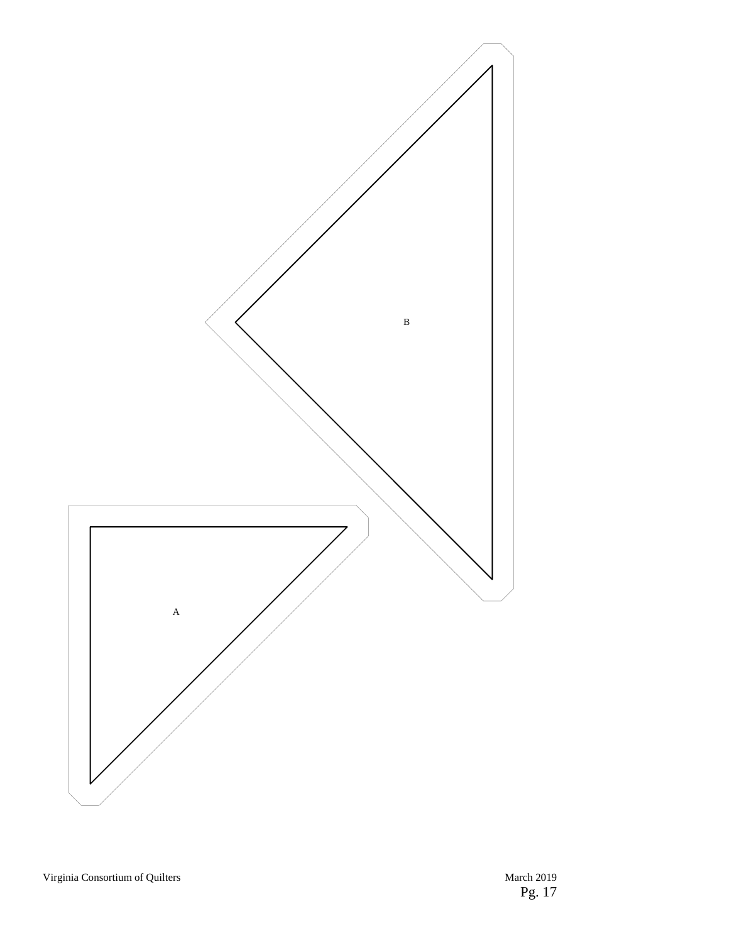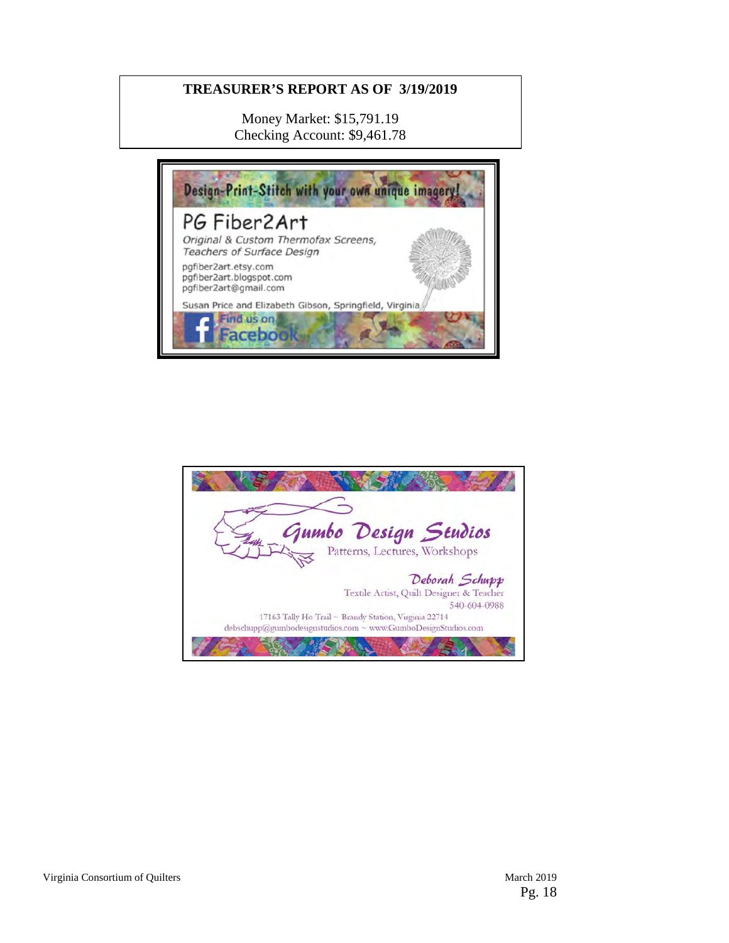#### **TREASURER'S REPORT AS OF 3/19/2019**

Money Market: \$15,791.19 Checking Account: \$9,461.78